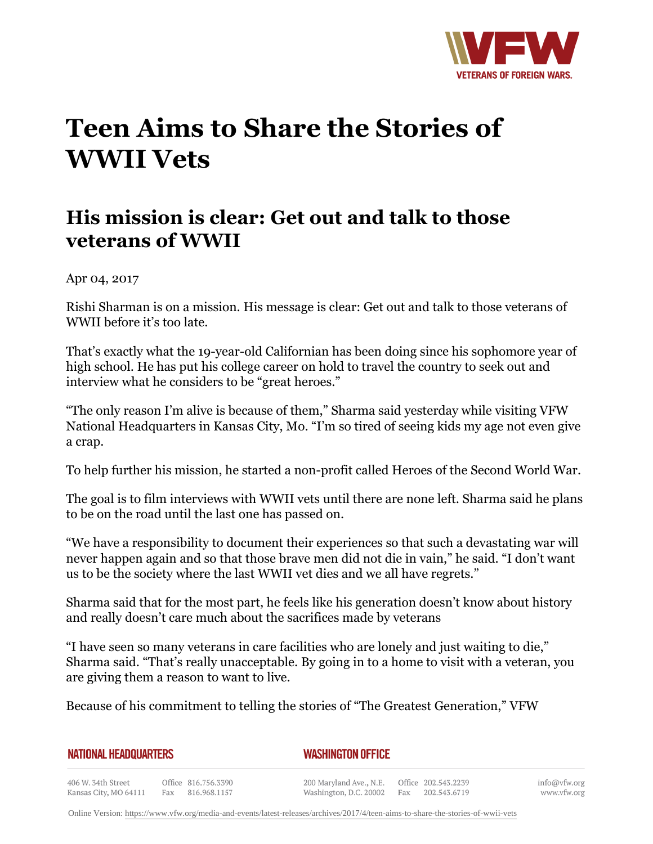

## **Teen Aims to Share the Stories of WWII Vets**

## **His mission is clear: Get out and talk to those veterans of WWII**

Apr 04, 2017

Rishi Sharman is on a mission. His message is clear: Get out and talk to those veterans of WWII before it's too late.

That's exactly what the 19-year-old Californian has been doing since his sophomore year of high school. He has put his college career on hold to travel the country to seek out and interview what he considers to be "great heroes."

"The only reason I'm alive is because of them," Sharma said yesterday while visiting VFW National Headquarters in Kansas City, Mo. "I'm so tired of seeing kids my age not even give a crap.

To help further his mission, he started a non-profit called Heroes of the Second World War.

The goal is to film interviews with WWII vets until there are none left. Sharma said he plans to be on the road until the last one has passed on.

"We have a responsibility to document their experiences so that such a devastating war will never happen again and so that those brave men did not die in vain," he said. "I don't want us to be the society where the last WWII vet dies and we all have regrets."

Sharma said that for the most part, he feels like his generation doesn't know about history and really doesn't care much about the sacrifices made by veterans

"I have seen so many veterans in care facilities who are lonely and just waiting to die," Sharma said. "That's really unacceptable. By going in to a home to visit with a veteran, you are giving them a reason to want to live.

Because of his commitment to telling the stories of "The Greatest Generation," VFW

| <b>NATIONAL HEADQUARTERS</b> |  |
|------------------------------|--|
|------------------------------|--|

## *WASHINGTON OFFICE*

406 W. 34th Street Office 816.756.3390 Fax 816.968.1157 Kansas City, MO 64111

200 Maryland Ave., N.E. Washington, D.C. 20002